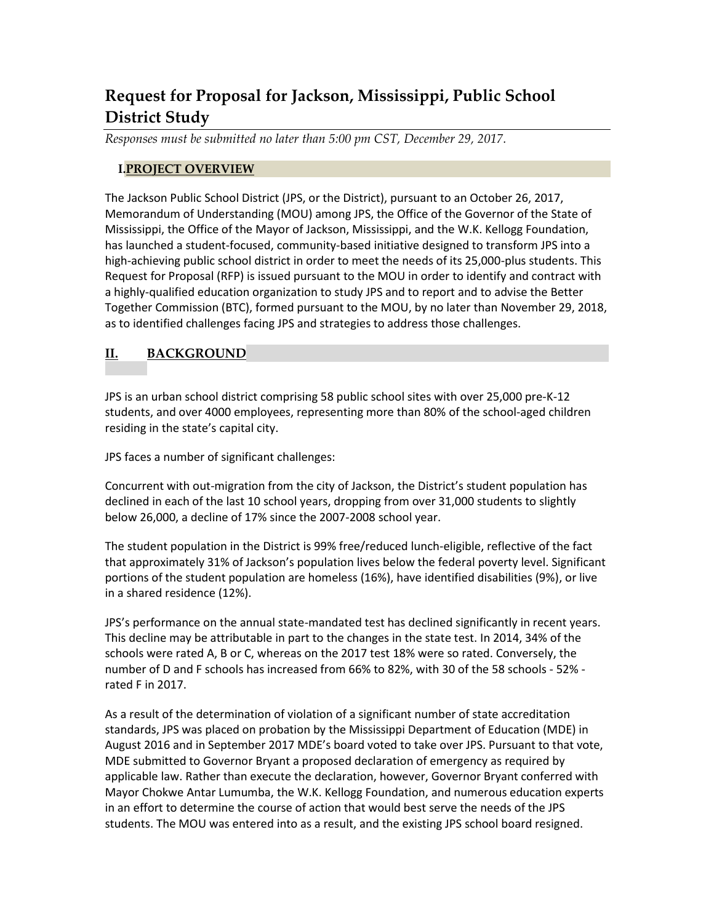# **Request for Proposal for Jackson, Mississippi, Public School District Study**

*Responses must be submitted no later than 5:00 pm CST, December 29, 2017.*

## **I.PROJECT OVERVIEW**

The Jackson Public School District (JPS, or the District), pursuant to an October 26, 2017, Memorandum of Understanding (MOU) among JPS, the Office of the Governor of the State of Mississippi, the Office of the Mayor of Jackson, Mississippi, and the W.K. Kellogg Foundation, has launched a student-focused, community-based initiative designed to transform JPS into a high-achieving public school district in order to meet the needs of its 25,000-plus students. This Request for Proposal (RFP) is issued pursuant to the MOU in order to identify and contract with a highly-qualified education organization to study JPS and to report and to advise the Better Together Commission (BTC), formed pursuant to the MOU, by no later than November 29, 2018, as to identified challenges facing JPS and strategies to address those challenges.

# **II. BACKGROUND**

JPS is an urban school district comprising 58 public school sites with over 25,000 pre-K-12 students, and over 4000 employees, representing more than 80% of the school-aged children residing in the state's capital city.

JPS faces a number of significant challenges:

Concurrent with out-migration from the city of Jackson, the District's student population has declined in each of the last 10 school years, dropping from over 31,000 students to slightly below 26,000, a decline of 17% since the 2007-2008 school year.

The student population in the District is 99% free/reduced lunch-eligible, reflective of the fact that approximately 31% of Jackson's population lives below the federal poverty level. Significant portions of the student population are homeless (16%), have identified disabilities (9%), or live in a shared residence (12%).

JPS's performance on the annual state-mandated test has declined significantly in recent years. This decline may be attributable in part to the changes in the state test. In 2014, 34% of the schools were rated A, B or C, whereas on the 2017 test 18% were so rated. Conversely, the number of D and F schools has increased from 66% to 82%, with 30 of the 58 schools - 52% rated F in 2017.

As a result of the determination of violation of a significant number of state accreditation standards, JPS was placed on probation by the Mississippi Department of Education (MDE) in August 2016 and in September 2017 MDE's board voted to take over JPS. Pursuant to that vote, MDE submitted to Governor Bryant a proposed declaration of emergency as required by applicable law. Rather than execute the declaration, however, Governor Bryant conferred with Mayor Chokwe Antar Lumumba, the W.K. Kellogg Foundation, and numerous education experts in an effort to determine the course of action that would best serve the needs of the JPS students. The MOU was entered into as a result, and the existing JPS school board resigned.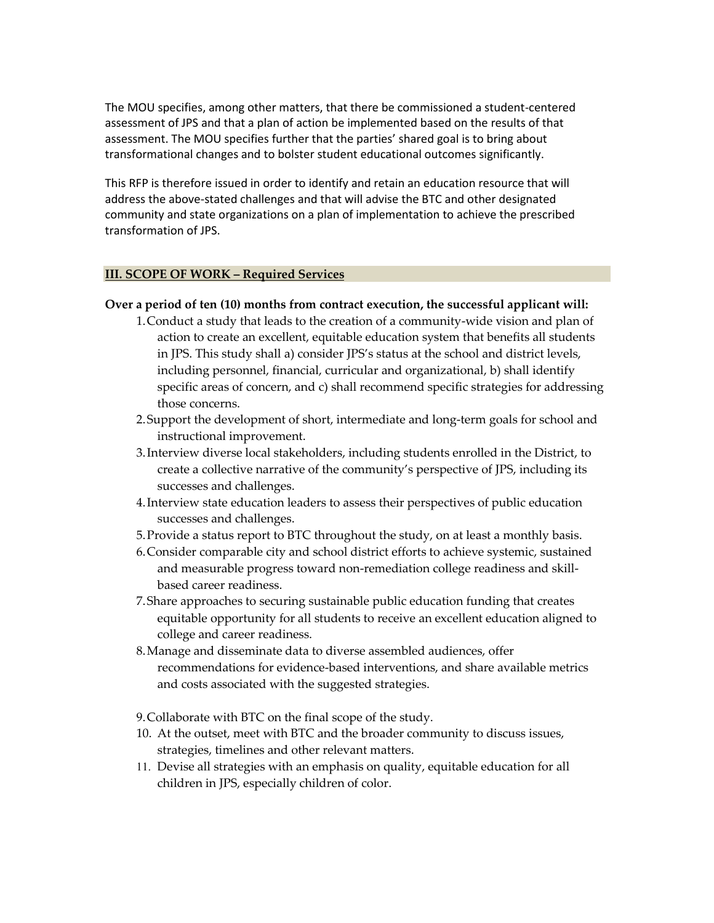The MOU specifies, among other matters, that there be commissioned a student-centered assessment of JPS and that a plan of action be implemented based on the results of that assessment. The MOU specifies further that the parties' shared goal is to bring about transformational changes and to bolster student educational outcomes significantly.

This RFP is therefore issued in order to identify and retain an education resource that will address the above-stated challenges and that will advise the BTC and other designated community and state organizations on a plan of implementation to achieve the prescribed transformation of JPS.

#### **III. SCOPE OF WORK – Required Services**

#### **Over a period of ten (10) months from contract execution, the successful applicant will:**

- 1.Conduct a study that leads to the creation of a community-wide vision and plan of action to create an excellent, equitable education system that benefits all students in JPS. This study shall a) consider JPS's status at the school and district levels, including personnel, financial, curricular and organizational, b) shall identify specific areas of concern, and c) shall recommend specific strategies for addressing those concerns.
- 2.Support the development of short, intermediate and long-term goals for school and instructional improvement.
- 3.Interview diverse local stakeholders, including students enrolled in the District, to create a collective narrative of the community's perspective of JPS, including its successes and challenges.
- 4.Interview state education leaders to assess their perspectives of public education successes and challenges.
- 5.Provide a status report to BTC throughout the study, on at least a monthly basis.
- 6.Consider comparable city and school district efforts to achieve systemic, sustained and measurable progress toward non-remediation college readiness and skillbased career readiness.
- 7.Share approaches to securing sustainable public education funding that creates equitable opportunity for all students to receive an excellent education aligned to college and career readiness.
- 8.Manage and disseminate data to diverse assembled audiences, offer recommendations for evidence-based interventions, and share available metrics and costs associated with the suggested strategies.
- 9.Collaborate with BTC on the final scope of the study.
- 10. At the outset, meet with BTC and the broader community to discuss issues, strategies, timelines and other relevant matters.
- 11. Devise all strategies with an emphasis on quality, equitable education for all children in JPS, especially children of color.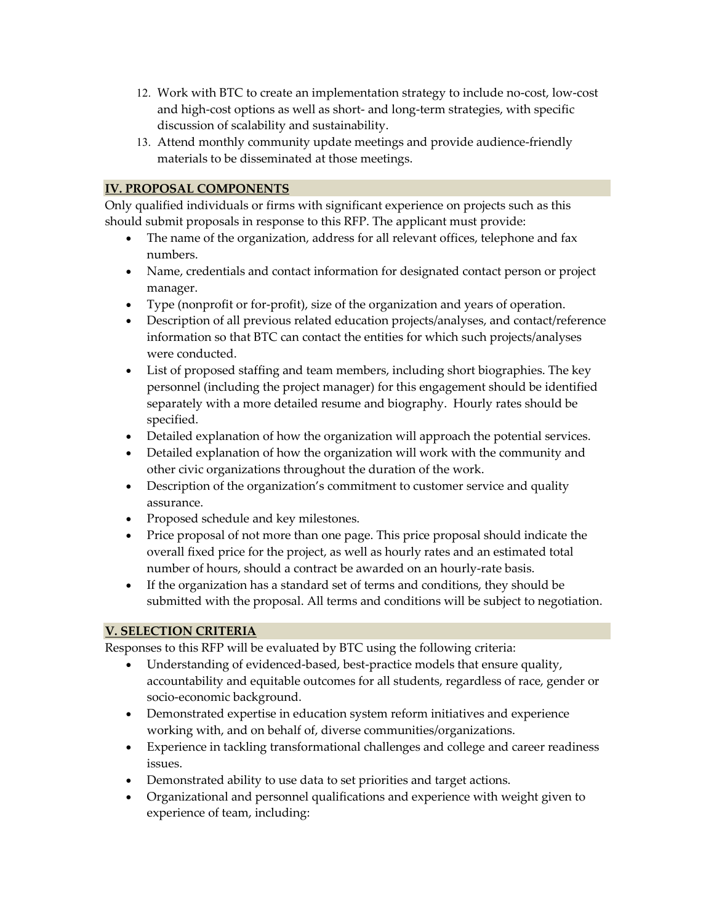- 12. Work with BTC to create an implementation strategy to include no-cost, low-cost and high-cost options as well as short- and long-term strategies, with specific discussion of scalability and sustainability.
- 13. Attend monthly community update meetings and provide audience-friendly materials to be disseminated at those meetings.

# **IV. PROPOSAL COMPONENTS**

Only qualified individuals or firms with significant experience on projects such as this should submit proposals in response to this RFP. The applicant must provide:

- The name of the organization, address for all relevant offices, telephone and fax numbers.
- Name, credentials and contact information for designated contact person or project manager.
- Type (nonprofit or for-profit), size of the organization and years of operation.
- Description of all previous related education projects/analyses, and contact/reference information so that BTC can contact the entities for which such projects/analyses were conducted.
- List of proposed staffing and team members, including short biographies. The key personnel (including the project manager) for this engagement should be identified separately with a more detailed resume and biography. Hourly rates should be specified.
- Detailed explanation of how the organization will approach the potential services.
- Detailed explanation of how the organization will work with the community and other civic organizations throughout the duration of the work.
- Description of the organization's commitment to customer service and quality assurance.
- Proposed schedule and key milestones.
- Price proposal of not more than one page. This price proposal should indicate the overall fixed price for the project, as well as hourly rates and an estimated total number of hours, should a contract be awarded on an hourly-rate basis.
- If the organization has a standard set of terms and conditions, they should be submitted with the proposal. All terms and conditions will be subject to negotiation.

# **V. SELECTION CRITERIA**

Responses to this RFP will be evaluated by BTC using the following criteria:

- Understanding of evidenced-based, best-practice models that ensure quality, accountability and equitable outcomes for all students, regardless of race, gender or socio-economic background.
- Demonstrated expertise in education system reform initiatives and experience working with, and on behalf of, diverse communities/organizations.
- Experience in tackling transformational challenges and college and career readiness issues.
- Demonstrated ability to use data to set priorities and target actions.
- Organizational and personnel qualifications and experience with weight given to experience of team, including: